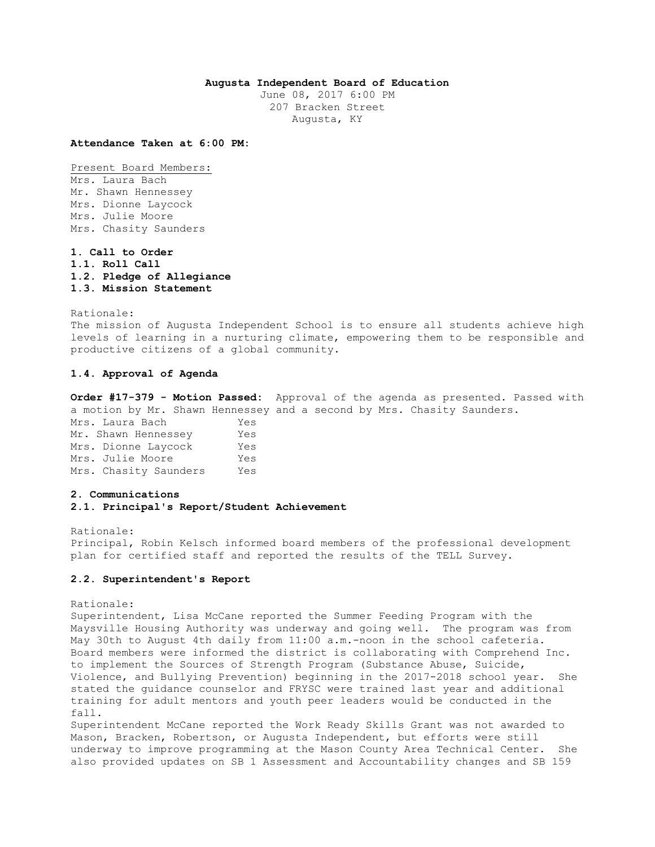# **Augusta Independent Board of Education**

June 08, 2017 6:00 PM 207 Bracken Street Augusta, KY

**Attendance Taken at 6:00 PM:**

Present Board Members: Mrs. Laura Bach Mr. Shawn Hennessey Mrs. Dionne Laycock Mrs. Julie Moore Mrs. Chasity Saunders

**1. Call to Order 1.1. Roll Call 1.2. Pledge of Allegiance 1.3. Mission Statement** 

Rationale: The mission of Augusta Independent School is to ensure all students achieve high levels of learning in a nurturing climate, empowering them to be responsible and productive citizens of a global community.

# **1.4. Approval of Agenda**

**Order #17-379 - Motion Passed:** Approval of the agenda as presented. Passed with a motion by Mr. Shawn Hennessey and a second by Mrs. Chasity Saunders. Mrs. Laura Bach Yes Mr. Shawn Hennessey Yes Mrs. Dionne Laycock Yes Mrs. Julie Moore Yes Mrs. Chasity Saunders Yes

# **2. Communications**

# **2.1. Principal's Report/Student Achievement**

Rationale: Principal, Robin Kelsch informed board members of the professional development plan for certified staff and reported the results of the TELL Survey.

#### **2.2. Superintendent's Report**

#### Rationale:

Superintendent, Lisa McCane reported the Summer Feeding Program with the Maysville Housing Authority was underway and going well. The program was from May 30th to August 4th daily from 11:00 a.m.-noon in the school cafeteria. Board members were informed the district is collaborating with Comprehend Inc. to implement the Sources of Strength Program (Substance Abuse, Suicide, Violence, and Bullying Prevention) beginning in the 2017-2018 school year. She stated the guidance counselor and FRYSC were trained last year and additional training for adult mentors and youth peer leaders would be conducted in the fall.

Superintendent McCane reported the Work Ready Skills Grant was not awarded to Mason, Bracken, Robertson, or Augusta Independent, but efforts were still underway to improve programming at the Mason County Area Technical Center. She also provided updates on SB 1 Assessment and Accountability changes and SB 159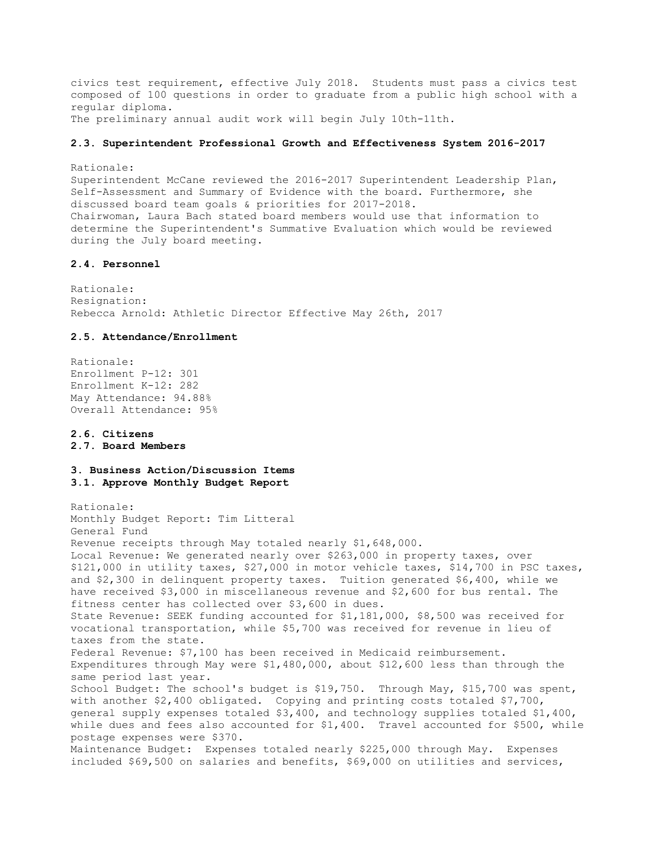civics test requirement, effective July 2018. Students must pass a civics test composed of 100 questions in order to graduate from a public high school with a regular diploma. The preliminary annual audit work will begin July 10th-11th.

## **2.3. Superintendent Professional Growth and Effectiveness System 2016-2017**

Rationale: Superintendent McCane reviewed the 2016-2017 Superintendent Leadership Plan, Self-Assessment and Summary of Evidence with the board. Furthermore, she discussed board team goals & priorities for 2017-2018. Chairwoman, Laura Bach stated board members would use that information to determine the Superintendent's Summative Evaluation which would be reviewed during the July board meeting.

# **2.4. Personnel**

Rationale: Resignation: Rebecca Arnold: Athletic Director Effective May 26th, 2017

# **2.5. Attendance/Enrollment**

Rationale: Enrollment P-12: 301 Enrollment K-12: 282 May Attendance: 94.88% Overall Attendance: 95%

# **2.6. Citizens 2.7. Board Members**

# **3. Business Action/Discussion Items 3.1. Approve Monthly Budget Report**

Rationale: Monthly Budget Report: Tim Litteral General Fund Revenue receipts through May totaled nearly \$1,648,000. Local Revenue: We generated nearly over \$263,000 in property taxes, over \$121,000 in utility taxes, \$27,000 in motor vehicle taxes, \$14,700 in PSC taxes, and \$2,300 in delinquent property taxes. Tuition generated \$6,400, while we have received \$3,000 in miscellaneous revenue and \$2,600 for bus rental. The fitness center has collected over \$3,600 in dues. State Revenue: SEEK funding accounted for \$1,181,000, \$8,500 was received for vocational transportation, while \$5,700 was received for revenue in lieu of taxes from the state. Federal Revenue: \$7,100 has been received in Medicaid reimbursement. Expenditures through May were \$1,480,000, about \$12,600 less than through the same period last year. School Budget: The school's budget is \$19,750. Through May, \$15,700 was spent, with another \$2,400 obligated. Copying and printing costs totaled \$7,700, general supply expenses totaled \$3,400, and technology supplies totaled \$1,400, while dues and fees also accounted for \$1,400. Travel accounted for \$500, while postage expenses were \$370. Maintenance Budget: Expenses totaled nearly \$225,000 through May. Expenses included \$69,500 on salaries and benefits, \$69,000 on utilities and services,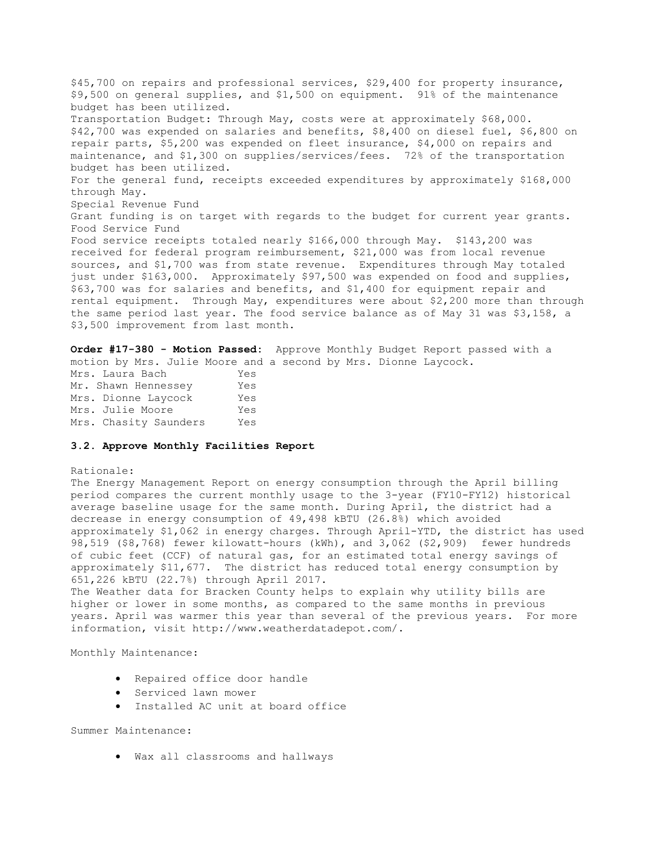\$45,700 on repairs and professional services, \$29,400 for property insurance, \$9,500 on general supplies, and \$1,500 on equipment. 91% of the maintenance budget has been utilized. Transportation Budget: Through May, costs were at approximately \$68,000. \$42,700 was expended on salaries and benefits, \$8,400 on diesel fuel, \$6,800 on repair parts, \$5,200 was expended on fleet insurance, \$4,000 on repairs and maintenance, and \$1,300 on supplies/services/fees. 72% of the transportation budget has been utilized. For the general fund, receipts exceeded expenditures by approximately \$168,000 through May. Special Revenue Fund Grant funding is on target with regards to the budget for current year grants. Food Service Fund Food service receipts totaled nearly \$166,000 through May. \$143,200 was received for federal program reimbursement, \$21,000 was from local revenue sources, and \$1,700 was from state revenue. Expenditures through May totaled just under \$163,000. Approximately \$97,500 was expended on food and supplies, \$63,700 was for salaries and benefits, and \$1,400 for equipment repair and rental equipment. Through May, expenditures were about \$2,200 more than through the same period last year. The food service balance as of May 31 was \$3,158, a \$3,500 improvement from last month.

**Order #17-380 - Motion Passed:** Approve Monthly Budget Report passed with a motion by Mrs. Julie Moore and a second by Mrs. Dionne Laycock. Mrs. Laura Bach Yes Mr. Shawn Hennessey Yes Mrs. Dionne Laycock Yes Mrs. Julie Moore Yes Mrs. Chasity Saunders Yes

# **3.2. Approve Monthly Facilities Report**

## Rationale:

The Energy Management Report on energy consumption through the April billing period compares the current monthly usage to the 3-year (FY10-FY12) historical average baseline usage for the same month. During April, the district had a decrease in energy consumption of 49,498 kBTU (26.8%) which avoided approximately \$1,062 in energy charges. Through April-YTD, the district has used 98,519 (\$8,768) fewer kilowatt-hours (kWh), and 3,062 (\$2,909) fewer hundreds of cubic feet (CCF) of natural gas, for an estimated total energy savings of approximately \$11,677. The district has reduced total energy consumption by 651,226 kBTU (22.7%) through April 2017.

The Weather data for Bracken County helps to explain why utility bills are higher or lower in some months, as compared to the same months in previous years. April was warmer this year than several of the previous years. For more information, visit http://www.weatherdatadepot.com/.

Monthly Maintenance:

- Repaired office door handle
- Serviced lawn mower
- Installed AC unit at board office

# Summer Maintenance:

Wax all classrooms and hallways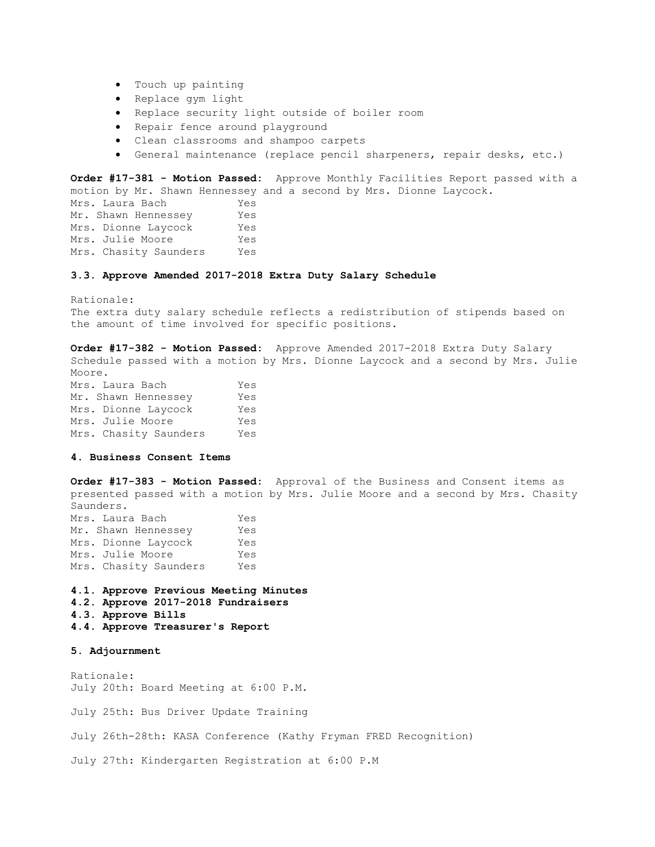- Touch up painting
- Replace gym light
- Replace security light outside of boiler room
- Repair fence around playground
- Clean classrooms and shampoo carpets
- General maintenance (replace pencil sharpeners, repair desks, etc.)

**Order #17-381 - Motion Passed:** Approve Monthly Facilities Report passed with a motion by Mr. Shawn Hennessey and a second by Mrs. Dionne Laycock. Mrs. Laura Bach Yes Mr. Shawn Hennessey Yes Mrs. Dionne Laycock Yes Mrs. Julie Moore Yes Mrs. Chasity Saunders Yes

# **3.3. Approve Amended 2017-2018 Extra Duty Salary Schedule**

Rationale: The extra duty salary schedule reflects a redistribution of stipends based on the amount of time involved for specific positions.

**Order #17-382 - Motion Passed:** Approve Amended 2017-2018 Extra Duty Salary Schedule passed with a motion by Mrs. Dionne Laycock and a second by Mrs. Julie Moore. Mrs. Laura Bach Yes Mr. Shawn Hennessey Yes Mrs. Dionne Laycock Yes Mrs. Julie Moore Yes Mrs. Chasity Saunders Yes

**4. Business Consent Items** 

**Order #17-383 - Motion Passed:** Approval of the Business and Consent items as presented passed with a motion by Mrs. Julie Moore and a second by Mrs. Chasity Saunders. Mrs. Laura Bach Yes

| Mr. Shawn Hennessey   | Yes |
|-----------------------|-----|
| Mrs. Dionne Laycock   | Yes |
| Mrs. Julie Moore      | Yes |
| Mrs. Chasity Saunders | Yes |

- **4.1. Approve Previous Meeting Minutes 4.2. Approve 2017-2018 Fundraisers 4.3. Approve Bills**
- **4.4. Approve Treasurer's Report**

**5. Adjournment** 

Rationale: July 20th: Board Meeting at 6:00 P.M.

July 25th: Bus Driver Update Training

July 26th-28th: KASA Conference (Kathy Fryman FRED Recognition)

July 27th: Kindergarten Registration at 6:00 P.M